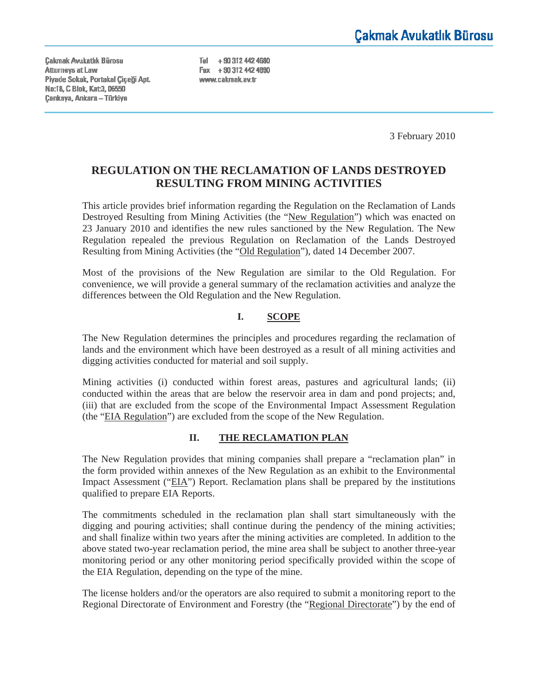Cakmak Avukatlık Bürosu **Attomeys at Law** Piyade Sokak, Portakal Ciceği Apt. No:18, C Blok, Kat:3, 06550 Çankaya, Ankara - Türkiye

Tel +90 312 442 4680 Fax +90 312 442 4690 www.cakmak.av.tr

3 February 2010

# **REGULATION ON THE RECLAMATION OF LANDS DESTROYED RESULTING FROM MINING ACTIVITIES**

This article provides brief information regarding the Regulation on the Reclamation of Lands Destroyed Resulting from Mining Activities (the "New Regulation") which was enacted on 23 January 2010 and identifies the new rules sanctioned by the New Regulation. The New Regulation repealed the previous Regulation on Reclamation of the Lands Destroyed Resulting from Mining Activities (the "Old Regulation"), dated 14 December 2007.

Most of the provisions of the New Regulation are similar to the Old Regulation. For convenience, we will provide a general summary of the reclamation activities and analyze the differences between the Old Regulation and the New Regulation.

## **I. SCOPE**

The New Regulation determines the principles and procedures regarding the reclamation of lands and the environment which have been destroyed as a result of all mining activities and digging activities conducted for material and soil supply.

Mining activities (i) conducted within forest areas, pastures and agricultural lands; (ii) conducted within the areas that are below the reservoir area in dam and pond projects; and, (iii) that are excluded from the scope of the Environmental Impact Assessment Regulation (the "EIA Regulation") are excluded from the scope of the New Regulation.

## **II. THE RECLAMATION PLAN**

The New Regulation provides that mining companies shall prepare a "reclamation plan" in the form provided within annexes of the New Regulation as an exhibit to the Environmental Impact Assessment ("EIA") Report. Reclamation plans shall be prepared by the institutions qualified to prepare EIA Reports.

The commitments scheduled in the reclamation plan shall start simultaneously with the digging and pouring activities; shall continue during the pendency of the mining activities; and shall finalize within two years after the mining activities are completed. In addition to the above stated two-year reclamation period, the mine area shall be subject to another three-year monitoring period or any other monitoring period specifically provided within the scope of the EIA Regulation, depending on the type of the mine.

The license holders and/or the operators are also required to submit a monitoring report to the Regional Directorate of Environment and Forestry (the "Regional Directorate") by the end of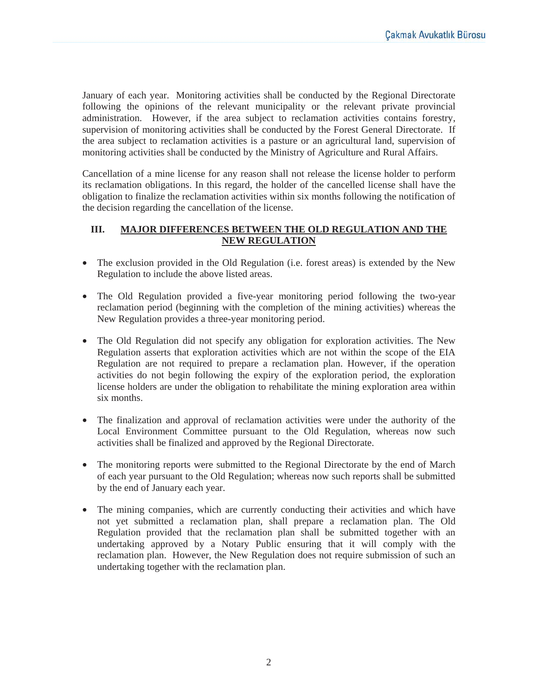January of each year. Monitoring activities shall be conducted by the Regional Directorate following the opinions of the relevant municipality or the relevant private provincial administration. However, if the area subject to reclamation activities contains forestry, supervision of monitoring activities shall be conducted by the Forest General Directorate. If the area subject to reclamation activities is a pasture or an agricultural land, supervision of monitoring activities shall be conducted by the Ministry of Agriculture and Rural Affairs.

Cancellation of a mine license for any reason shall not release the license holder to perform its reclamation obligations. In this regard, the holder of the cancelled license shall have the obligation to finalize the reclamation activities within six months following the notification of the decision regarding the cancellation of the license.

## **III. MAJOR DIFFERENCES BETWEEN THE OLD REGULATION AND THE NEW REGULATION**

- The exclusion provided in the Old Regulation (i.e. forest areas) is extended by the New Regulation to include the above listed areas.
- The Old Regulation provided a five-year monitoring period following the two-year reclamation period (beginning with the completion of the mining activities) whereas the New Regulation provides a three-year monitoring period.
- The Old Regulation did not specify any obligation for exploration activities. The New Regulation asserts that exploration activities which are not within the scope of the EIA Regulation are not required to prepare a reclamation plan. However, if the operation activities do not begin following the expiry of the exploration period, the exploration license holders are under the obligation to rehabilitate the mining exploration area within six months.
- The finalization and approval of reclamation activities were under the authority of the Local Environment Committee pursuant to the Old Regulation, whereas now such activities shall be finalized and approved by the Regional Directorate.
- The monitoring reports were submitted to the Regional Directorate by the end of March of each year pursuant to the Old Regulation; whereas now such reports shall be submitted by the end of January each year.
- The mining companies, which are currently conducting their activities and which have not yet submitted a reclamation plan, shall prepare a reclamation plan. The Old Regulation provided that the reclamation plan shall be submitted together with an undertaking approved by a Notary Public ensuring that it will comply with the reclamation plan. However, the New Regulation does not require submission of such an undertaking together with the reclamation plan.